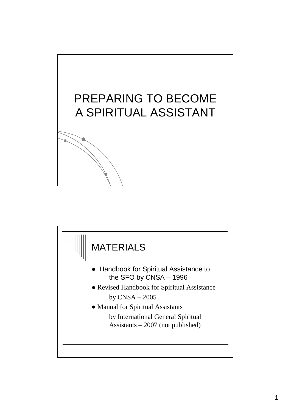

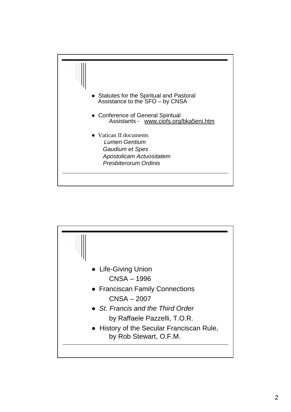

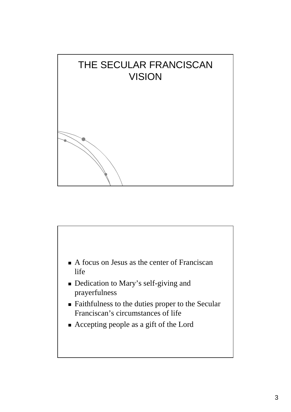

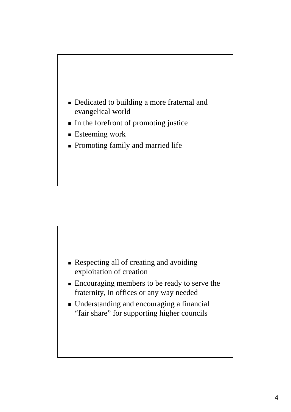

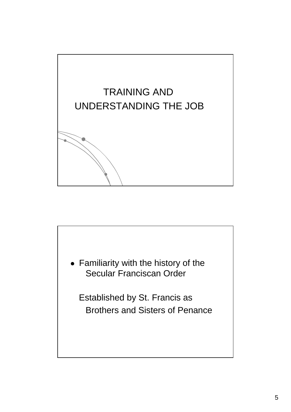

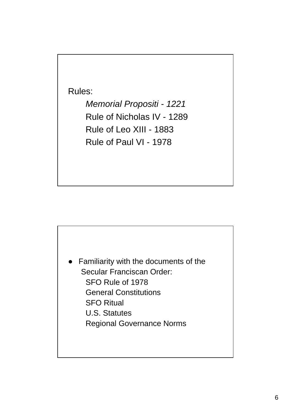Rules:

Memorial Propositi - 1221 Rule of Nicholas IV - 1289 Rule of Leo XIII - 1883 Rule of Paul VI - 1978

Familiarity with the documents of the Secular Franciscan Order: SFO Rule of 1978 General Constitutions SFO Ritual U.S. Statutes Regional Governance Norms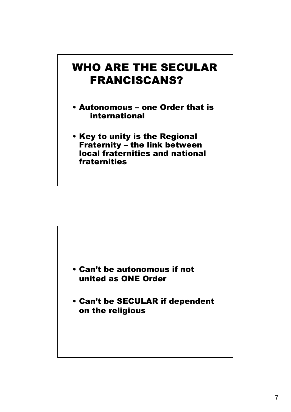### WHO ARE THE SECULAR FRANCISCANS?

- Autonomous one Order that is international
- Key to unity is the Regional Fraternity – the link between local fraternities and national fraternities

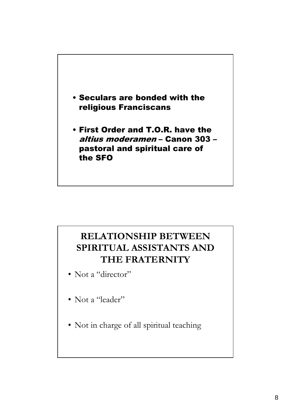

#### **RELATIONSHIP BETWEEN SPIRITUAL ASSISTANTS AND THE FRATERNITY**

- Not a "director"
- Not a "leader"
- Not in charge of all spiritual teaching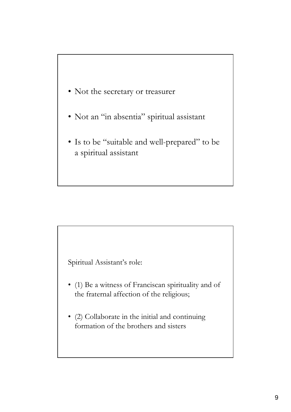- Not the secretary or treasurer
- Not an "in absentia" spiritual assistant
- Is to be "suitable and well-prepared" to be a spiritual assistant



- (1) Be a witness of Franciscan spirituality and of the fraternal affection of the religious;
- (2) Collaborate in the initial and continuing formation of the brothers and sisters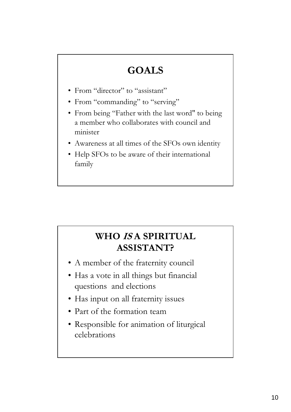# **GOALS**

- From "director" to "assistant"
- From "commanding" to "serving"
- From being "Father with the last word" to being a member who collaborates with council and minister
- Awareness at all times of the SFOs own identity
- Help SFOs to be aware of their international family

### **WHO IS A SPIRITUAL ASSISTANT?**

- A member of the fraternity council
- Has a vote in all things but financial questions and elections
- Has input on all fraternity issues
- Part of the formation team
- Responsible for animation of liturgical celebrations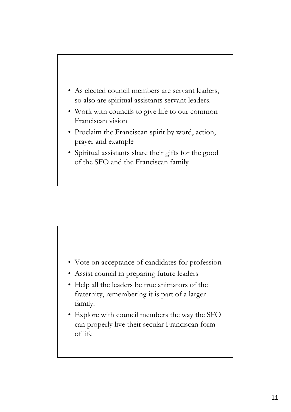



- Assist council in preparing future leaders
- Help all the leaders be true animators of the fraternity, remembering it is part of a larger family.
- Explore with council members the way the SFO can properly live their secular Franciscan form of life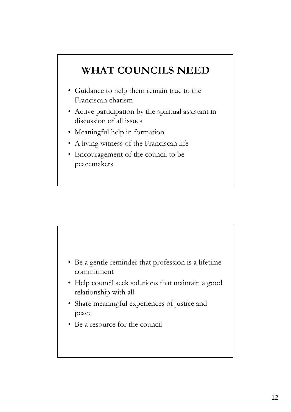## **WHAT COUNCILS NEED**

- Guidance to help them remain true to the Franciscan charism
- Active participation by the spiritual assistant in discussion of all issues
- Meaningful help in formation
- A living witness of the Franciscan life
- Encouragement of the council to be peacemakers



- Help council seek solutions that maintain a good relationship with all
- Share meaningful experiences of justice and peace
- Be a resource for the council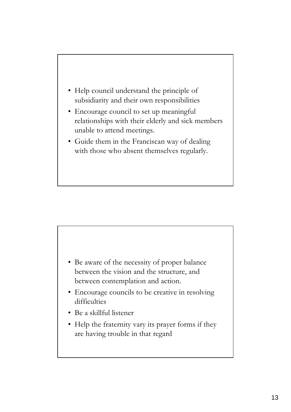

- Encourage council to set up meaningful relationships with their elderly and sick members unable to attend meetings.
- Guide them in the Franciscan way of dealing with those who absent themselves regularly.



- Encourage councils to be creative in resolving difficulties
- Be a skillful listener
- Help the fraternity vary its prayer forms if they are having trouble in that regard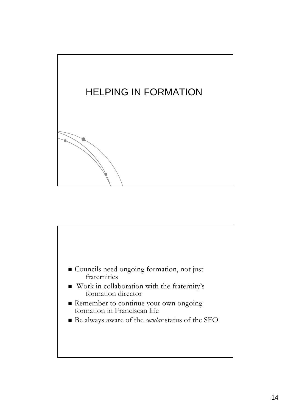

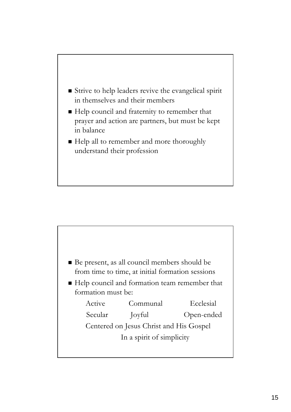

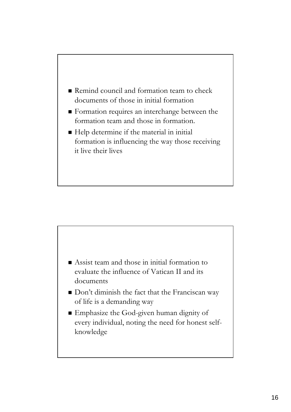



- Don't diminish the fact that the Franciscan way of life is a demanding way
- Emphasize the God-given human dignity of every individual, noting the need for honest selfknowledge